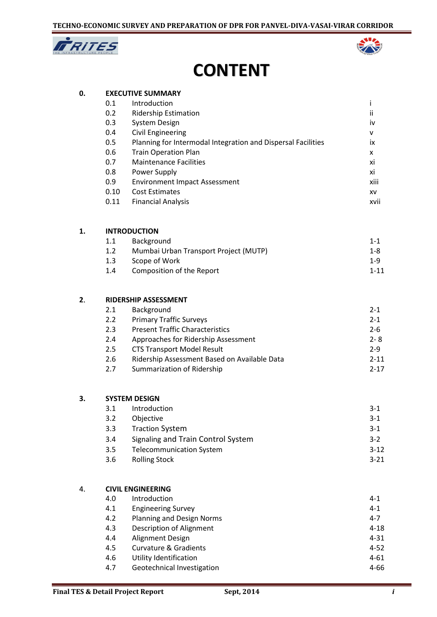



## **CONTENT**

| 0. |      | <b>EXECUTIVE SUMMARY</b>                                     |          |
|----|------|--------------------------------------------------------------|----------|
|    | 0.1  | Introduction                                                 | Ť        |
|    | 0.2  | <b>Ridership Estimation</b>                                  | ii       |
|    | 0.3  | <b>System Design</b>                                         | iv       |
|    | 0.4  | <b>Civil Engineering</b>                                     | v        |
|    | 0.5  | Planning for Intermodal Integration and Dispersal Facilities | ix       |
|    | 0.6  | <b>Train Operation Plan</b>                                  | X        |
|    | 0.7  | <b>Maintenance Facilities</b>                                | xi       |
|    | 0.8  | Power Supply                                                 | xi       |
|    | 0.9  | <b>Environment Impact Assessment</b>                         | xiii     |
|    | 0.10 | <b>Cost Estimates</b>                                        | XV       |
|    | 0.11 | <b>Financial Analysis</b>                                    | xvii     |
| 1. |      | <b>INTRODUCTION</b>                                          |          |
|    | 1.1  | Background                                                   | $1 - 1$  |
|    | 1.2  | Mumbai Urban Transport Project (MUTP)                        | $1 - 8$  |
|    | 1.3  | Scope of Work                                                | $1 - 9$  |
|    | 1.4  | Composition of the Report                                    | $1 - 11$ |
| 2. |      | <b>RIDERSHIP ASSESSMENT</b>                                  |          |
|    | 2.1  | Background                                                   | $2 - 1$  |
|    | 2.2  | <b>Primary Traffic Surveys</b>                               | $2 - 1$  |
|    | 2.3  | <b>Present Traffic Characteristics</b>                       | $2 - 6$  |
|    | 2.4  | Approaches for Ridership Assessment                          | $2 - 8$  |
|    | 2.5  | <b>CTS Transport Model Result</b>                            | $2 - 9$  |
|    | 2.6  | Ridership Assessment Based on Available Data                 | $2 - 11$ |
|    | 2.7  | Summarization of Ridership                                   | $2 - 17$ |
| 3. |      | <b>SYSTEM DESIGN</b>                                         |          |
|    | 3.1  | Introduction                                                 | $3-1$    |
|    | 3.2  | Objective                                                    | $3-1$    |
|    | 3.3  | <b>Traction System</b>                                       | $3 - 1$  |
|    | 3.4  | Signaling and Train Control System                           | $3-2$    |
|    | 3.5  | <b>Telecommunication System</b>                              | $3 - 12$ |
|    | 3.6  | <b>Rolling Stock</b>                                         | $3 - 21$ |
| 4. |      | <b>CIVIL ENGINEERING</b>                                     |          |
|    | 4.0  | Introduction                                                 | $4 - 1$  |
|    | 4.1  | <b>Engineering Survey</b>                                    | $4 - 1$  |
|    | 4.2  | Planning and Design Norms                                    | 4-7      |
|    | 13   | Description of Alianment                                     | $1 - 18$ |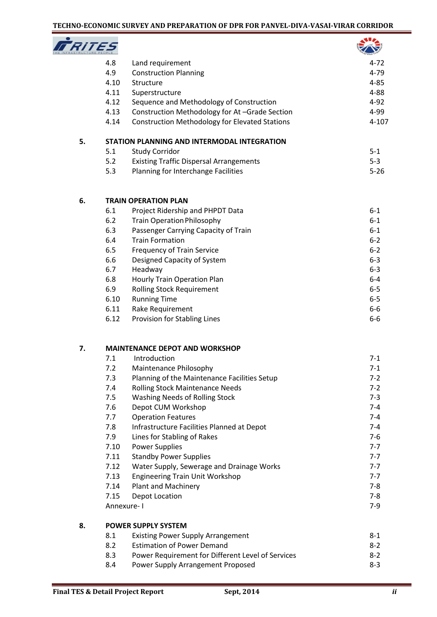| c<br>NE<br>4 H |
|----------------|

|    | 77 E S |                                                       |           |
|----|--------|-------------------------------------------------------|-----------|
|    | 4.8    | Land requirement                                      | $4 - 72$  |
|    | 4.9    | <b>Construction Planning</b>                          | 4-79      |
|    | 4.10   | Structure                                             | $4 - 85$  |
|    | 4.11   | Superstructure                                        | $4 - 88$  |
|    | 4.12   | Sequence and Methodology of Construction              | $4 - 92$  |
|    | 4.13   | Construction Methodology for At-Grade Section         | 4-99      |
|    | 4.14   | <b>Construction Methodology for Elevated Stations</b> | $4 - 107$ |
| 5. |        | STATION PLANNING AND INTERMODAL INTEGRATION           |           |
|    | 5.1    | <b>Study Corridor</b>                                 | $5 - 1$   |
|    | 5.2    | <b>Existing Traffic Dispersal Arrangements</b>        | $5 - 3$   |
|    | 5.3    | Planning for Interchange Facilities                   | $5 - 26$  |
| 6. |        | <b>TRAIN OPERATION PLAN</b>                           |           |
|    | 6.1    | Project Ridership and PHPDT Data                      | $6-1$     |
|    | 6.2    | <b>Train Operation Philosophy</b>                     | $6-1$     |
|    | 6.3    | Passenger Carrying Capacity of Train                  | $6-1$     |
|    | 6.4    | <b>Train Formation</b>                                | $6 - 2$   |
|    | 6.5    | <b>Frequency of Train Service</b>                     | $6 - 2$   |
|    | 6.6    | Designed Capacity of System                           | $6 - 3$   |
|    | 6.7    | Headway                                               | $6 - 3$   |
|    | 6.8    | Hourly Train Operation Plan                           | $6-4$     |
|    | 6.9    | <b>Rolling Stock Requirement</b>                      | $6-5$     |
|    | 6.10   | <b>Running Time</b>                                   | $6-5$     |
|    | 6.11   | Rake Requirement                                      | $6-6$     |
|    | 6.12   | Provision for Stabling Lines                          | 6-6       |
| 7. |        | <b>MAINTENANCE DEPOT AND WORKSHOP</b>                 |           |
|    | 7.1    | Introduction                                          | $7 - 1$   |
|    | 7.2    | Maintenance Philosophy                                | $7-1$     |
|    | 7.3    | Planning of the Maintenance Facilities Setup          | $7 - 2$   |
|    | 7.4    | <b>Rolling Stock Maintenance Needs</b>                | $7 - 2$   |
|    | 7.5    | <b>Washing Needs of Rolling Stock</b>                 | $7 - 3$   |
|    | 7.6    | Depot CUM Workshop                                    | $7 - 4$   |
|    | 7.7    | <b>Operation Features</b>                             | $7 - 4$   |
|    | 7.8    | Infrastructure Facilities Planned at Depot            | $7 - 4$   |
|    | 7.9    | Lines for Stabling of Rakes                           | $7 - 6$   |

| 7.10       | <b>Power Supplies</b>                     | $7 - 7$ |
|------------|-------------------------------------------|---------|
| 7.11       | <b>Standby Power Supplies</b>             | $7 - 7$ |
| 7.12       | Water Supply, Sewerage and Drainage Works | $7 - 7$ |
| 7.13       | <b>Engineering Train Unit Workshop</b>    | $7 - 7$ |
| 7.14       | <b>Plant and Machinery</b>                | 7-8     |
| 7.15       | Depot Location                            | 7-8     |
| Annexure-I |                                           | 7-9     |

| 8. |     | <b>POWER SUPPLY SYSTEM</b>                        |         |
|----|-----|---------------------------------------------------|---------|
|    | 8.1 | <b>Existing Power Supply Arrangement</b>          | $8 - 1$ |
|    | 8.2 | <b>Estimation of Power Demand</b>                 | $8 - 2$ |
|    | 8.3 | Power Requirement for Different Level of Services | $8-2$   |
|    | 8.4 | Power Supply Arrangement Proposed                 | $8-3$   |
|    |     |                                                   |         |